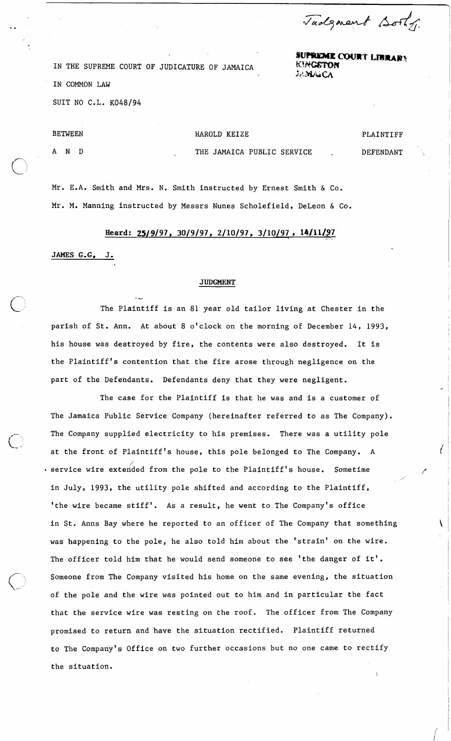Tadgment Bothy

\

*supreme COURT LIBRARY*<br>**KINGSTON** ;A:MA:CA

IN THE SUPREME COURT OF JUDICATURE OF JAMAICA IN COMMON LAW SUIT NO C.L. K048/94

. **-d** 

BETWEEN AND HAROLD KEIZE THE JAMAICA PUBLIC SERVICE PLAINTIFF DEFENDANT

Mr. E.A. Smith and Mrs. N. Smith instructed by Ernest Smith & Co. Mr. M. Manning instructed by Messrs Nunes Scholefield, DeLeon & Co.

## Heard: 25/9/97, 30/9/97, 2/10/97, 3/10/97, 14/11/97

JAMES G.G, J.

**i** 

## **JUDGMENT**

The Plaintiff is an 81 year old tailor living at Chester in the parish of St. Ann. At about 8 o'clock on the morning of December 14, 1993, his house was destroyed by fire, the contents were also destroyed. It is the plaintiff's contention that the fire arose through negligence on the part of the Defendants. Defendants deny that they were negligent.

The case for the Plaintiff is that he was and is a customer of The Jamaica Public Service Company (hereinafter referred to as The Company). The Company supplied electricity to his premises. There was a utility pole at the front of Plaintiff's house, this pole belonged to The Company. A *I* service wire extended from the pole to the Plaintiff's house. Sometime in July, 1993, the utility pole shifted and according to the Plaintiff, 'the wire became stiff'. As a result, he went to The Company's office in St. Anns Bay where he reported to an officer of The Company that something was happening to the pole, he also told him about the 'strain' on the wire. The officer told him that he would send someone to see 'the danger of it'. Someone from The Company visited his home on the same evening, the situation of the pole and the wire was pointed out to him and in particular the fact that the service wire was resting on the roof. The officer from The Company promised to return and have the situation rectified. Plaintiff returned to The Company's Office on two further occasions but no one came to rectify the situation.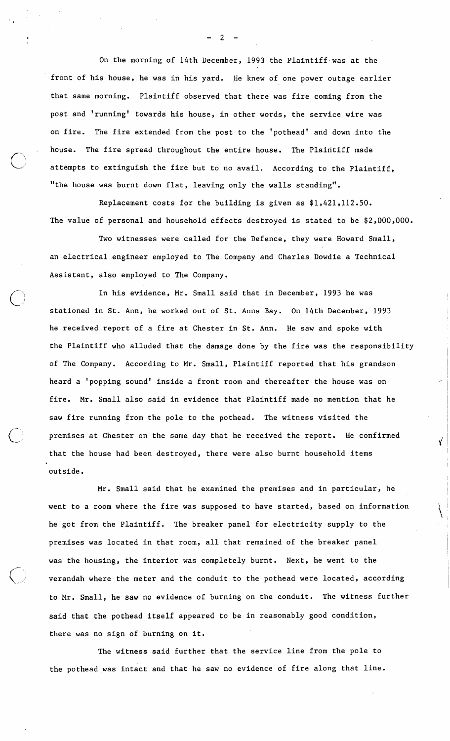On the morning of 14th December, 1993 the Plaintiff-was at the front of his house, he was in his yard. He knew of one power outage earlier that same morning. Plaintiff observed that there was fire coming from the post and 'running' towards his house, in other words, the service wire was on fire. The fire extended from the post to the 'pothead' and down into the house. The fire spread throughout the entire house. The Plaintiff made attempts to extinguish the fire but to no avail. According to the Plaintiff, "the house was burnt down flat, leaving only the walls standing".

Replacement costs for the building is given as \$1,421,112.50. The value of personal and household effects destroyed is stated to be \$2,000,000.

Two witnesses were called for the Defence, they were Howard Small, an electrical.engineer employed to The Company and Charles Dowdie a Technical Assistant, also employed to The Company.

In his evidence, Mr. Small said that in December, 1993 he was stationed in St. Ann, he worked out of St. Anns Bay. On 14th December, 1993 he received report of a fire at Chester in St. Ann. He saw and spoke with the Plaintiff who alluded that the damage done by the fire was the responsibility of The Company. According to Mr. Small, Plaintiff reported that his grandson heard a 'popping sound' inside a front room and thereafter the house was on fire. Mr. Small also said in evidence that Plaintiff made no mention that he saw fire running from the pole to the pothead. The witness visited the premises at Chester on the same day that he received the report. He confirmed  $\check{\mathbf{y}}$ that the house had been destroyed, there were also burnt household items outside.

 $\mathbb{Z}^n$ 

Mr. Small said that he examined the premises and in particular, he went to a room where the fire was supposed to have started, based on information he got from the Plaintiff. The breaker panel for electricity supply to the premises was located in that room, all that remained of the breaker panel was the housing, the interior was completely burnt. Next, he went to the verandah where the meter and the conduit to the pothead were located, according to Mr. Small, he saw no evidence of burning on the conduit. The witness further said that the pothead itself appeared to be in reasonably good condition, there was no sign of burning on it.

The witness said further that the service line from the pole to the pothead was intact and that he saw no evidence of fire along that line.

-2-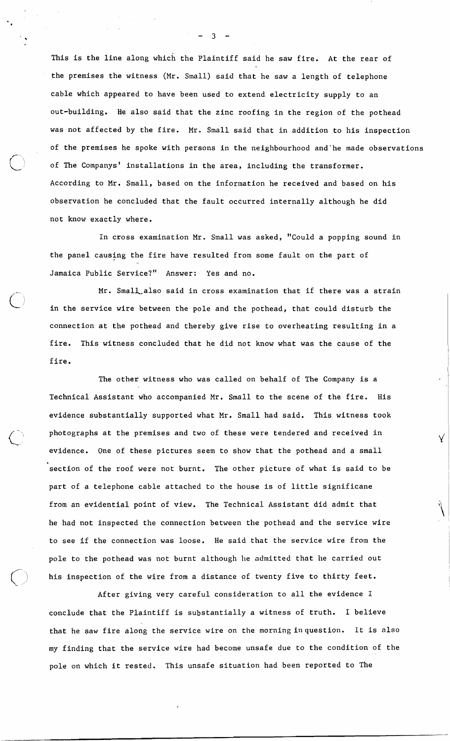This is the line along which the Plaintiff said he saw fire. At the rear of the premises the witness (Mr. Small) said that he saw a length of telephone cable which appeared to have been used to extend electricity supply to an out-building. He also said that the zinc roofing in the region of the pothead was not affected by the fire. Mr. Small said that in addition to his inspection of the premises he spoke with persons in the neighbourhood and'he made observations of The Companys' installations in the area, including the transformer. According to Mr. Small, based on the information he received and based on his observation he concluded that the fault occurred internally although he did not know exactly where.

In cross examination Mr. Small was asked, "Could a popping sound in the panel causing the fire have resulted from some fault on the part of Jamaica Public Service?" Answer: Yes and no.

Mr. Small also said in cross examination that if there was a strain in the service wire between the pole and the pothead, that could disturb the connection at the pothead and thereby give rise to overheating resulting in a fire. This witness concluded that he did not know what was the cause of the fire.

 $)$  ;

The other witness who was called on behalf of The Company is a Technical Assistant who accompanied Mr. Small to the scene of the fire. His evidence substantially supported what Mr. Small had said. This witness took photographs at the premises and two of these were tendered and received in evidence. One of these pictures seem to show that the pothead and a small section of the roof were not burnt. The other picture of what is said to be part of a telephone cable attached to the house is of little significane from an evidential point of view. The Technical Assistant did admit that he had not inspected the connection between the pothead and the service wire to see if the connection was loose. He said that the service wire from the pole to the pothead was not burnt although he admitted that he carried out his inspection of the wire from a distance of twenty five to thirty feet.

Y

After giving very careful consideration to all the evidence I conclude that the Plaintiff is substantially a witness of truth. I believe that he saw fire along the service wire on the morning inquestion. It is also my finding that the service wire had become unsafe due to the condition of the pole on which it rested. This unsafe situation had been reported to The

\* **-3-**